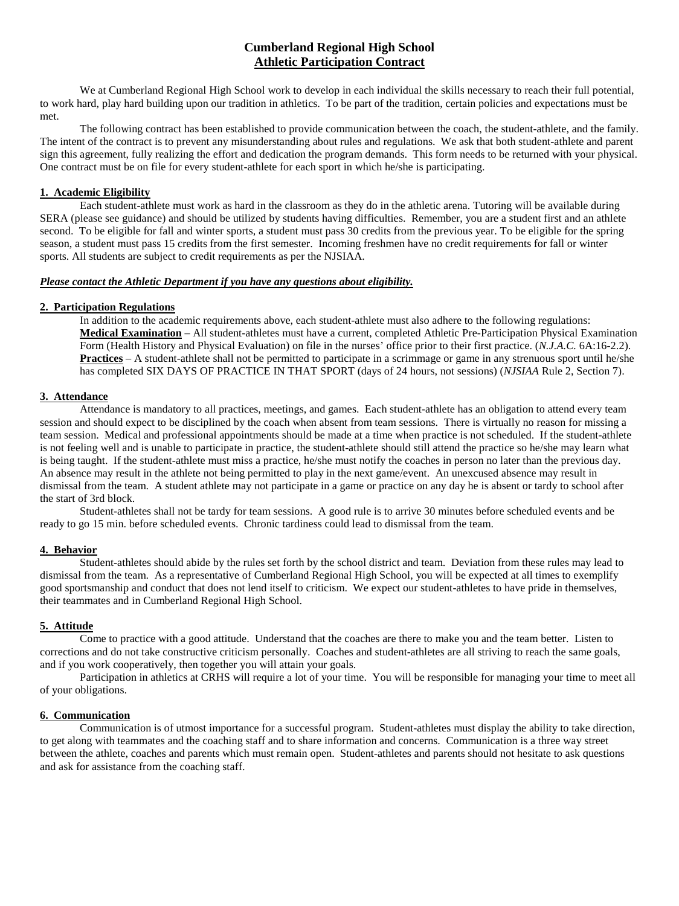# **Cumberland Regional High School Athletic Participation Contract**

We at Cumberland Regional High School work to develop in each individual the skills necessary to reach their full potential. to work hard, play hard building upon our tradition in athletics. To be part of the tradition, certain policies and expectations must be met.

The following contract has been established to provide communication between the coach, the student-athlete, and the family. The intent of the contract is to prevent any misunderstanding about rules and regulations. We ask that both student-athlete and parent sign this agreement, fully realizing the effort and dedication the program demands. This form needs to be returned with your physical. One contract must be on file for every student-athlete for each sport in which he/she is participating.

#### **1. Academic Eligibility**

Each student-athlete must work as hard in the classroom as they do in the athletic arena. Tutoring will be available during SERA (please see guidance) and should be utilized by students having difficulties. Remember, you are a student first and an athlete second. To be eligible for fall and winter sports, a student must pass 30 credits from the previous year. To be eligible for the spring season, a student must pass 15 credits from the first semester. Incoming freshmen have no credit requirements for fall or winter sports. All students are subject to credit requirements as per the NJSIAA.

#### *Please contact the Athletic Department if you have any questions about eligibility.*

## **2. Participation Regulations**

In addition to the academic requirements above, each student-athlete must also adhere to the following regulations: **Medical Examination** – All student-athletes must have a current, completed Athletic Pre-Participation Physical Examination Form (Health History and Physical Evaluation) on file in the nurses' office prior to their first practice. (*N.J.A.C.* 6A:16-2.2). **Practices** – A student-athlete shall not be permitted to participate in a scrimmage or game in any strenuous sport until he/she has completed SIX DAYS OF PRACTICE IN THAT SPORT (days of 24 hours, not sessions) (*NJSIAA* Rule 2, Section 7).

## **3. Attendance**

Attendance is mandatory to all practices, meetings, and games. Each student-athlete has an obligation to attend every team session and should expect to be disciplined by the coach when absent from team sessions. There is virtually no reason for missing a team session. Medical and professional appointments should be made at a time when practice is not scheduled. If the student-athlete is not feeling well and is unable to participate in practice, the student-athlete should still attend the practice so he/she may learn what is being taught. If the student-athlete must miss a practice, he/she must notify the coaches in person no later than the previous day. An absence may result in the athlete not being permitted to play in the next game/event. An unexcused absence may result in dismissal from the team. A student athlete may not participate in a game or practice on any day he is absent or tardy to school after the start of 3rd block.

Student-athletes shall not be tardy for team sessions. A good rule is to arrive 30 minutes before scheduled events and be ready to go 15 min. before scheduled events. Chronic tardiness could lead to dismissal from the team.

#### **4. Behavior**

Student-athletes should abide by the rules set forth by the school district and team. Deviation from these rules may lead to dismissal from the team. As a representative of Cumberland Regional High School, you will be expected at all times to exemplify good sportsmanship and conduct that does not lend itself to criticism. We expect our student-athletes to have pride in themselves, their teammates and in Cumberland Regional High School.

#### **5. Attitude**

Come to practice with a good attitude. Understand that the coaches are there to make you and the team better. Listen to corrections and do not take constructive criticism personally. Coaches and student-athletes are all striving to reach the same goals, and if you work cooperatively, then together you will attain your goals.

Participation in athletics at CRHS will require a lot of your time. You will be responsible for managing your time to meet all of your obligations.

## **6. Communication**

Communication is of utmost importance for a successful program. Student-athletes must display the ability to take direction, to get along with teammates and the coaching staff and to share information and concerns. Communication is a three way street between the athlete, coaches and parents which must remain open. Student-athletes and parents should not hesitate to ask questions and ask for assistance from the coaching staff.